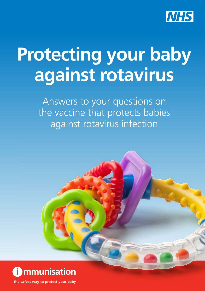

# **Protecting your baby against rotavirus**

Answers to your questions on the vaccine that protects babies against rotavirus infection



**the safest way to protect your baby**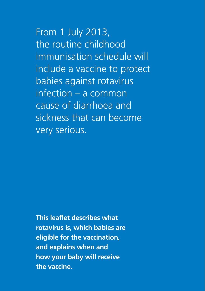From 1 July 2013, the routine childhood immunisation schedule will include a vaccine to protect babies against rotavirus infection – a common cause of diarrhoea and sickness that can become very serious.

**This leaflet describes what rotavirus is, which babies are eligible for the vaccination, and explains when and how your baby will receive the vaccine.**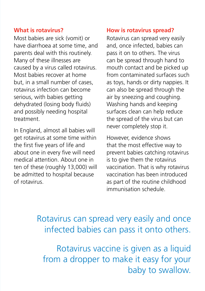#### **What is rotavirus?**

Most babies are sick (vomit) or have diarrhoea at some time, and parents deal with this routinely. Many of these illnesses are caused by a virus called rotavirus. Most babies recover at home but, in a small number of cases, rotavirus infection can become serious, with babies getting dehydrated (losing body fluids) and possibly needing hospital treatment.

In England, almost all babies will get rotavirus at some time within the first five years of life and about one in every five will need medical attention. About one in ten of these (roughly 13,000) will be admitted to hospital because of rotavirus.

#### **How is rotavirus spread?**

Rotavirus can spread very easily and, once infected, babies can pass it on to others. The virus can be spread through hand to mouth contact and be picked up from contaminated surfaces such as toys, hands or dirty nappies. It can also be spread through the air by sneezing and coughing. Washing hands and keeping surfaces clean can help reduce the spread of the virus but can never completely stop it.

However, evidence shows that the most effective way to prevent babies catching rotavirus is to give them the rotavirus vaccination. That is why rotavirus vaccination has been introduced as part of the routine childhood immunisation schedule.

# Rotavirus can spread very easily and once infected babies can pass it onto others.

Rotavirus vaccine is given as a liquid from a dropper to make it easy for your baby to swallow.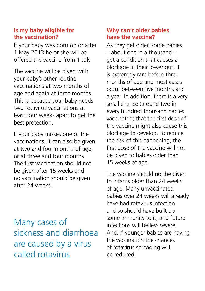#### **Is my baby eligible for the vaccination?**

If your baby was born on or after 1 May 2013 he or she will be offered the vaccine from 1 July.

The vaccine will be given with your baby's other routine vaccinations at two months of age and again at three months. This is because your baby needs two rotavirus vaccinations at least four weeks apart to get the best protection.

If your baby misses one of the vaccinations, it can also be given at two and four months of age, or at three and four months. The first vaccination should not be given after 15 weeks and no vaccination should be given after 24 weeks.

Many cases of sickness and diarrhoea are caused by a virus called rotavirus

#### **Why can't older babies have the vaccine?**

As they get older, some babies – about one in a thousand – get a condition that causes a blockage in their lower gut. It is extremely rare before three months of age and most cases occur between five months and a year. In addition, there is a very small chance (around two in every hundred thousand babies vaccinated) that the first dose of the vaccine might also cause this blockage to develop. To reduce the risk of this happening, the first dose of the vaccine will not be given to babies older than 15 weeks of age.

The vaccine should not be given to infants older than 24 weeks of age. Many unvaccinated babies over 24 weeks will already have had rotavirus infection and so should have built up some immunity to it, and future infections will be less severe. And, if younger babies are having the vaccination the chances of rotavirus spreading will be reduced.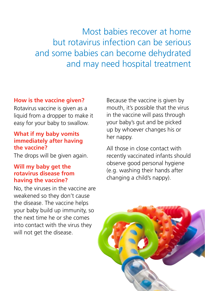Most babies recover at home but rotavirus infection can be serious and some babies can become dehydrated and may need hospital treatment

# **How is the vaccine given?**

Rotavirus vaccine is given as a liquid from a dropper to make it easy for your baby to swallow.

# **What if my baby vomits immediately after having the vaccine?**

The drops will be given again.

# **Will my baby get the rotavirus disease from having the vaccine?**

No, the viruses in the vaccine are weakened so they don't cause the disease. The vaccine helps your baby build up immunity, so the next time he or she comes into contact with the virus they will not get the disease.

Because the vaccine is given by mouth, it's possible that the virus in the vaccine will pass through your baby's gut and be picked up by whoever changes his or her nappy.

All those in close contact with recently vaccinated infants should observe good personal hygiene (e.g. washing their hands after changing a child's nappy).

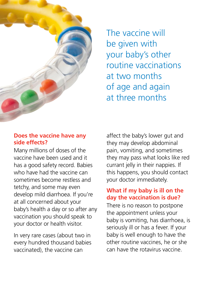

The vaccine will be given with your baby's other routine vaccinations at two months of age and again at three months

#### **Does the vaccine have any side effects?**

Many millions of doses of the vaccine have been used and it has a good safety record. Babies who have had the vaccine can sometimes become restless and tetchy, and some may even develop mild diarrhoea. If you're at all concerned about your baby's health a day or so after any vaccination you should speak to your doctor or health visitor.

In very rare cases (about two in every hundred thousand babies vaccinated), the vaccine can

affect the baby's lower gut and they may develop abdominal pain, vomiting, and sometimes they may pass what looks like red currant jelly in their nappies. If this happens, you should contact your doctor immediately.

# **What if my baby is ill on the day the vaccination is due?**

There is no reason to postpone the appointment unless your baby is vomiting, has diarrhoea, is seriously ill or has a fever. If your baby is well enough to have the other routine vaccines, he or she can have the rotavirus vaccine.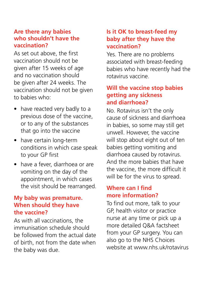#### **Are there any babies who shouldn't have the vaccination?**

As set out above, the first vaccination should not be given after 15 weeks of age and no vaccination should be given after 24 weeks. The vaccination should not be given to babies who:

- have reacted very badly to a previous dose of the vaccine, or to any of the substances that go into the vaccine
- have certain long-term conditions in which case speak to your GP first
- have a fever, diarrhoea or are vomiting on the day of the appointment, in which cases the visit should be rearranged.

### **My baby was premature. When should they have the vaccine?**

As with all vaccinations, the immunisation schedule should be followed from the actual date of birth, not from the date when the baby was due.

# **Is it OK to breast-feed my baby after they have the vaccination?**

Yes. There are no problems associated with breast-feeding babies who have recently had the rotavirus vaccine.

# **Will the vaccine stop babies getting any sickness and diarrhoea?**

No. Rotavirus isn't the only cause of sickness and diarrhoea in babies, so some may still get unwell. However, the vaccine will stop about eight out of ten babies getting vomiting and diarrhoea caused by rotavirus. And the more babies that have the vaccine, the more difficult it will be for the virus to spread.

# **Where can I find more information?**

To find out more, talk to your GP, health visitor or practice nurse at any time or pick up a more detailed Q&A factsheet from your GP surgery. You can also go to the NHS Choices website at www.nhs.uk/rotavirus